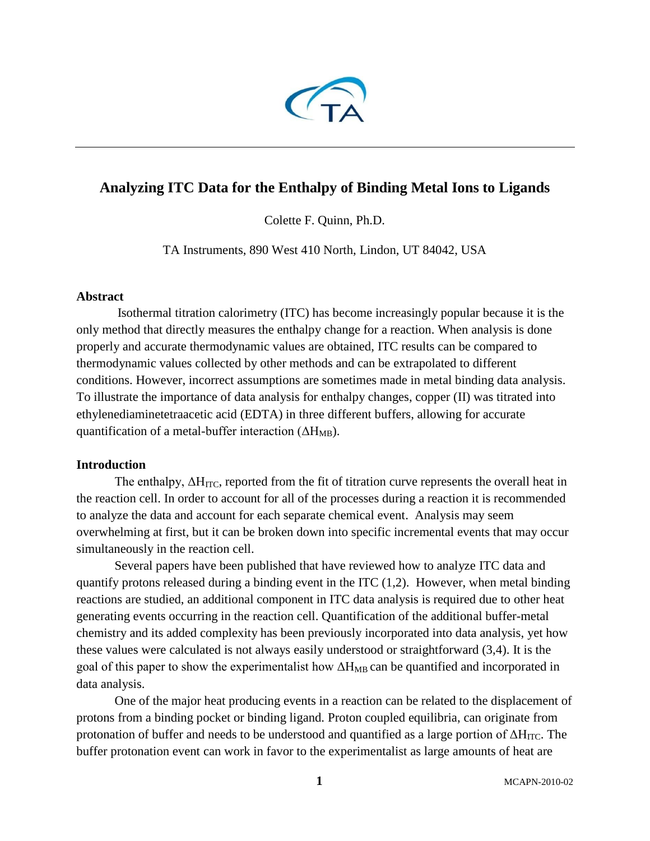

# **Analyzing ITC Data for the Enthalpy of Binding Metal Ions to Ligands**

Colette F. Quinn, Ph.D.

TA Instruments, 890 West 410 North, Lindon, UT 84042, USA

### **Abstract**

 Isothermal titration calorimetry (ITC) has become increasingly popular because it is the only method that directly measures the enthalpy change for a reaction. When analysis is done properly and accurate thermodynamic values are obtained, ITC results can be compared to thermodynamic values collected by other methods and can be extrapolated to different conditions. However, incorrect assumptions are sometimes made in metal binding data analysis. To illustrate the importance of data analysis for enthalpy changes, copper (II) was titrated into ethylenediaminetetraacetic acid (EDTA) in three different buffers, allowing for accurate quantification of a metal-buffer interaction  $(\Delta H_{MB})$ .

## **Introduction**

The enthalpy,  $\Delta H_{\text{ITC}}$ , reported from the fit of titration curve represents the overall heat in the reaction cell. In order to account for all of the processes during a reaction it is recommended to analyze the data and account for each separate chemical event. Analysis may seem overwhelming at first, but it can be broken down into specific incremental events that may occur simultaneously in the reaction cell.

Several papers have been published that have reviewed how to analyze ITC data and quantify protons released during a binding event in the ITC  $(1,2)$ . However, when metal binding reactions are studied, an additional component in ITC data analysis is required due to other heat generating events occurring in the reaction cell. Quantification of the additional buffer-metal chemistry and its added complexity has been previously incorporated into data analysis, yet how these values were calculated is not always easily understood or straightforward (3,4). It is the goal of this paper to show the experimentalist how  $\Delta H_{MB}$  can be quantified and incorporated in data analysis.

One of the major heat producing events in a reaction can be related to the displacement of protons from a binding pocket or binding ligand. Proton coupled equilibria, can originate from protonation of buffer and needs to be understood and quantified as a large portion of  $\Delta H_{\text{ITC}}$ . The buffer protonation event can work in favor to the experimentalist as large amounts of heat are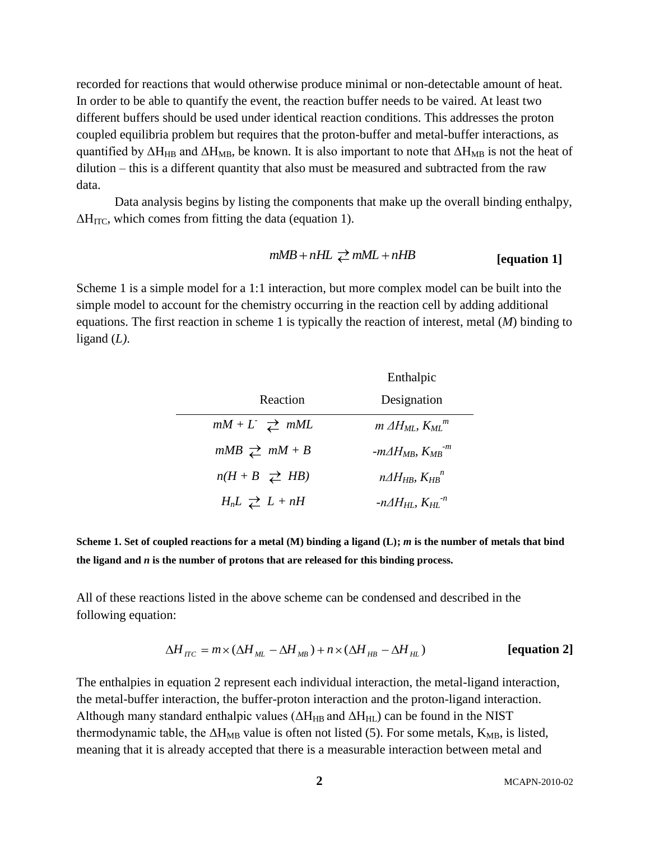recorded for reactions that would otherwise produce minimal or non-detectable amount of heat. In order to be able to quantify the event, the reaction buffer needs to be vaired. At least two different buffers should be used under identical reaction conditions. This addresses the proton coupled equilibria problem but requires that the proton-buffer and metal-buffer interactions, as quantified by  $\Delta H_{HB}$  and  $\Delta H_{MB}$ , be known. It is also important to note that  $\Delta H_{MB}$  is not the heat of dilution – this is a different quantity that also must be measured and subtracted from the raw data.

Data analysis begins by listing the components that make up the overall binding enthalpy,  $\Delta H_{\text{ITC}}$ , which comes from fitting the data (equation 1).

$$
mMB + nHL \geq mML + nHB
$$
 [equation 1]

Scheme 1 is a simple model for a 1:1 interaction, but more complex model can be built into the simple model to account for the chemistry occurring in the reaction cell by adding additional equations. The first reaction in scheme 1 is typically the reaction of interest, metal (*M*) binding to ligand (*L)*.

|                                 | Enthalpic                                  |  |
|---------------------------------|--------------------------------------------|--|
| Reaction                        | Designation                                |  |
| $mM + L \rightleftharpoons mML$ | $m \Delta H_{ML}$ , $K_{ML}$ <sup>m</sup>  |  |
| $mMB \geq mM+B$                 | $-m\Delta H_{MB}$ , $K_{MB}$ <sup>-m</sup> |  |
| $n(H + B \rightleftarrows HB)$  | $n\Delta H_{HR}$ , $K_{HR}^n$              |  |
| $H_nL \nightharpoonup L + nH$   | $-n\Delta H_{HI}$ , $K_{HI}$ <sup>-n</sup> |  |

**Scheme 1. Set of coupled reactions for a metal (M) binding a ligand (L);** *m* **is the number of metals that bind the ligand and** *n* **is the number of protons that are released for this binding process.**

All of these reactions listed in the above scheme can be condensed and described in the following equation:

$$
\Delta H_{\text{ITC}} = m \times (\Delta H_{\text{ML}} - \Delta H_{\text{MB}}) + n \times (\Delta H_{\text{HB}} - \Delta H_{\text{HL}})
$$
 [equation 2]

The enthalpies in equation 2 represent each individual interaction, the metal-ligand interaction, the metal-buffer interaction, the buffer-proton interaction and the proton-ligand interaction. Although many standard enthalpic values ( $\Delta H_{HB}$  and  $\Delta H_{HL}$ ) can be found in the NIST thermodynamic table, the  $\Delta H_{MB}$  value is often not listed (5). For some metals,  $K_{MB}$ , is listed, meaning that it is already accepted that there is a measurable interaction between metal and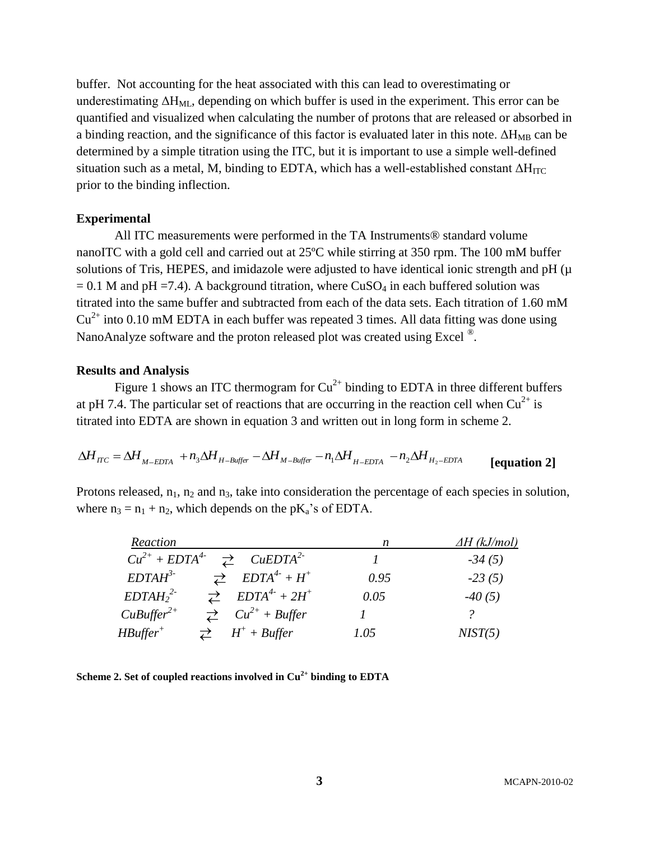buffer. Not accounting for the heat associated with this can lead to overestimating or underestimating  $\Delta H_{ML}$ , depending on which buffer is used in the experiment. This error can be quantified and visualized when calculating the number of protons that are released or absorbed in a binding reaction, and the significance of this factor is evaluated later in this note.  $\Delta H_{MR}$  can be determined by a simple titration using the ITC, but it is important to use a simple well-defined situation such as a metal, M, binding to EDTA, which has a well-established constant  $\Delta H_{ITC}$ prior to the binding inflection.

#### **Experimental**

All ITC measurements were performed in the TA Instruments® standard volume nanoITC with a gold cell and carried out at 25ºC while stirring at 350 rpm. The 100 mM buffer solutions of Tris, HEPES, and imidazole were adjusted to have identical ionic strength and pH ( $\mu$ )  $= 0.1$  M and pH =7.4). A background titration, where CuSO<sub>4</sub> in each buffered solution was titrated into the same buffer and subtracted from each of the data sets. Each titration of 1.60 mM  $Cu<sup>2+</sup>$  into 0.10 mM EDTA in each buffer was repeated 3 times. All data fitting was done using NanoAnalyze software and the proton released plot was created using Excel  $^{\circledR}$ .

#### **Results and Analysis**

Figure 1 shows an ITC thermogram for  $Cu^{2+}$  binding to EDTA in three different buffers at pH 7.4. The particular set of reactions that are occurring in the reaction cell when  $Cu^{2+}$  is titrated into EDTA are shown in equation 3 and written out in long form in scheme 2.

$$
\Delta H_{\text{ITC}} = \Delta H_{\text{M-EDTA}} + n_3 \Delta H_{\text{H-Buffer}} - \Delta H_{\text{M-Buffer}} - n_1 \Delta H_{\text{H-EDTA}} - n_2 \Delta H_{\text{H}_2-\text{EDTA}}
$$
 [equation 2]

Protons released,  $n_1$ ,  $n_2$  and  $n_3$ , take into consideration the percentage of each species in solution, where  $n_3 = n_1 + n_2$ , which depends on the pK<sub>a</sub>'s of EDTA.

| Reaction                                                   | n    | <u>∆H (kJ/mol)</u> |
|------------------------------------------------------------|------|--------------------|
| $Cu^{2+} + EDTA^{4-} \geq CuEDTA^{2-}$                     |      | $-34(5)$           |
| $EDTAH^3$<br>$\overrightarrow{c}$ $EDTA^4 + H^+$           | 0.95 | $-23(5)$           |
| $\overrightarrow{c}$ $EDTA^{4} + 2H^{+}$<br>$EDTAH_2^{2-}$ | 0.05 | $-40(5)$           |
| $CuBuffer^{2+}$<br>$\overrightarrow{c}$ $Cu^{2+}$ + Buffer |      |                    |
| $H^+$ + Buffer<br>$H\mathcal{B}$ uffer <sup>+</sup>        | 1.05 | NIST(5)            |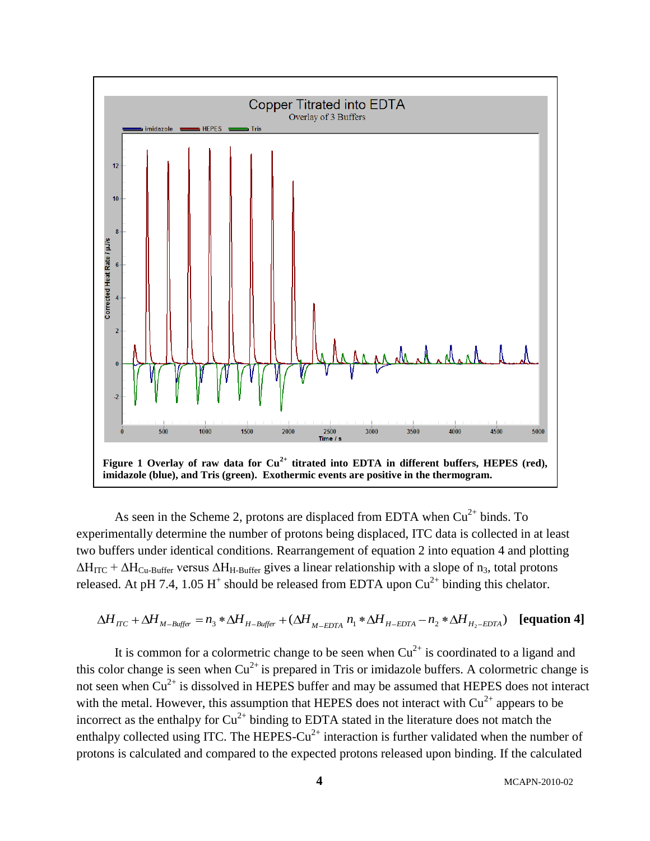

As seen in the Scheme 2, protons are displaced from EDTA when  $Cu<sup>2+</sup>$  binds. To experimentally determine the number of protons being displaced, ITC data is collected in at least two buffers under identical conditions. Rearrangement of equation 2 into equation 4 and plotting  $\Delta H_{\text{ITC}} + \Delta H_{\text{Cu-Buffer}}$  versus  $\Delta H_{\text{H-Buffer}}$  gives a linear relationship with a slope of n<sub>3</sub>, total protons released. At pH 7.4, 1.05 H<sup>+</sup> should be released from EDTA upon  $Cu^{2+}$  binding this chelator.

$$
\Delta H_{\text{TC}} + \Delta H_{\text{M-Buffer}} = n_3 * \Delta H_{\text{H-Buffer}} + (\Delta H_{\text{M-EDTA}} n_1 * \Delta H_{\text{H-EDTA}} - n_2 * \Delta H_{\text{H}_2 - \text{EDTA}}) \text{ [equation 4]}
$$

It is common for a colormetric change to be seen when  $Cu^{2+}$  is coordinated to a ligand and this color change is seen when  $Cu^{2+}$  is prepared in Tris or imidazole buffers. A colormetric change is not seen when  $Cu^{2+}$  is dissolved in HEPES buffer and may be assumed that HEPES does not interact with the metal. However, this assumption that HEPES does not interact with  $Cu^{2+}$  appears to be incorrect as the enthalpy for  $Cu^{2+}$  binding to EDTA stated in the literature does not match the enthalpy collected using ITC. The HEPES-Cu<sup>2+</sup> interaction is further validated when the number of protons is calculated and compared to the expected protons released upon binding. If the calculated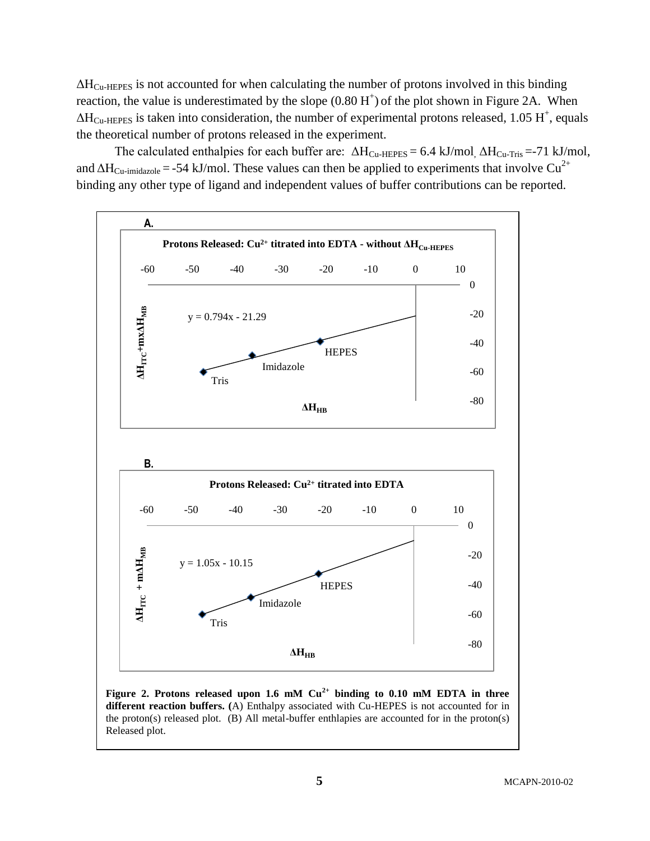$\Delta H_{\text{Cu-HEPES}}$  is not accounted for when calculating the number of protons involved in this binding reaction, the value is underestimated by the slope  $(0.80 H<sup>+</sup>)$  of the plot shown in Figure 2A. When  $\Delta H_{\text{Cu-HEPES}}$  is taken into consideration, the number of experimental protons released, 1.05 H<sup>+</sup>, equals the theoretical number of protons released in the experiment.

The calculated enthalpies for each buffer are:  $\Delta H_{Cu-HEPES} = 6.4 \text{ kJ/mol}$ ,  $\Delta H_{Cu-Tris} = -71 \text{ kJ/mol}$ , and  $\Delta H_{Cu-imidazole} = -54 \text{ kJ/mol}$ . These values can then be applied to experiments that involve Cu<sup>2+</sup> binding any other type of ligand and independent values of buffer contributions can be reported.